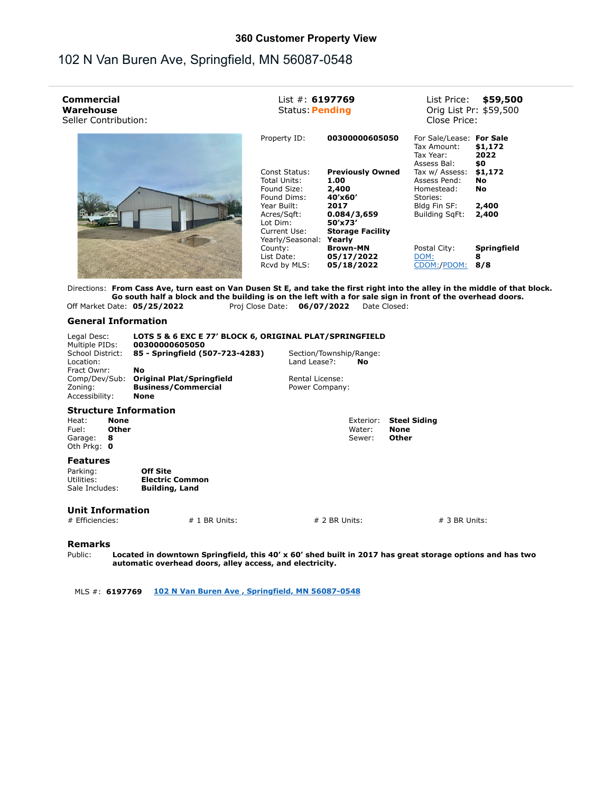## **360 Customer Property View**

## 102 N Van Buren Ave, Springfield, MN 56087-0548

| Commercial<br>Warehouse<br>Seller Contribution:                                                                              | List #: $6197769$<br><b>Status: Pending</b>                 |                                                           | \$59,500<br>List Price:<br>Orig List Pr: \$59,500<br>Close Price:   |                                |
|------------------------------------------------------------------------------------------------------------------------------|-------------------------------------------------------------|-----------------------------------------------------------|---------------------------------------------------------------------|--------------------------------|
|                                                                                                                              | Property ID:                                                | 00300000605050                                            | For Sale/Lease: For Sale<br>Tax Amount:<br>Tax Year:<br>Assess Bal: | \$1,172<br>2022<br>\$0         |
|                                                                                                                              | Const Status:<br>Total Units:<br>Found Size:<br>Found Dims: | <b>Previously Owned</b><br>1.00<br>2,400<br>40'x60'       | Tax w/ Assess:<br>Assess Pend:<br>Homestead:<br>Stories:            | \$1,172<br>No<br>No            |
|                                                                                                                              | Year Built:<br>Acres/Sqft:<br>Lot Dim:<br>Current Use:      | 2017<br>0.084/3,659<br>50'x73'<br><b>Storage Facility</b> | Bldg Fin SF:<br>Building SqFt:                                      | 2,400<br>2,400                 |
|                                                                                                                              | Yearly/Seasonal:<br>County:<br>List Date:<br>Rcvd by MLS:   | Yearly<br><b>Brown-MN</b><br>05/17/2022<br>05/18/2022     | Postal City:<br>DOM:<br>CDOM:/PDOM:                                 | <b>Springfield</b><br>8<br>8/8 |
| Directions: From Cass Ave, turn east on Van Dusen St E, and take the first right into the alley in the middle of that block. |                                                             |                                                           |                                                                     |                                |

**Go south half a block and the building is on the left with a for sale sign in front of the overhead doors.** Off Market Date: **05/25/2022** Proj Close Date: **06/07/2022** Date Closed:

## **General Information**

| Legal Desc:<br>Multiple PIDs:                       |       | LOTS 5 & 6 EXC E 77' BLOCK 6, ORIGINAL PLAT/SPRINGFIELD<br>00300000605050 |                 |           |                     |
|-----------------------------------------------------|-------|---------------------------------------------------------------------------|-----------------|-----------|---------------------|
| School District:<br>85 - Springfield (507-723-4283) |       | Section/Township/Range:                                                   |                 |           |                     |
| Location:                                           |       |                                                                           | Land Lease?:    | No        |                     |
| Fract Ownr:                                         |       | No                                                                        |                 |           |                     |
| Comp/Dev/Sub:                                       |       | <b>Original Plat/Springfield</b>                                          | Rental License: |           |                     |
| <b>Business/Commercial</b><br>Zoning:               |       | Power Company:                                                            |                 |           |                     |
| Accessibility:<br>None                              |       |                                                                           |                 |           |                     |
|                                                     |       | <b>Structure Information</b>                                              |                 |           |                     |
| Heat:                                               | None  |                                                                           |                 | Exterior: | <b>Steel Siding</b> |
| Fuel:                                               | Other |                                                                           |                 | Water:    | <b>None</b>         |
| Garage:                                             | 8     |                                                                           |                 | Sewer:    | Other               |
| Oth Prka: 0                                         |       |                                                                           |                 |           |                     |
| <b>Features</b>                                     |       |                                                                           |                 |           |                     |
| Parking:                                            |       | <b>Off Site</b>                                                           |                 |           |                     |
| Utilities:                                          |       | <b>Electric Common</b>                                                    |                 |           |                     |

**Unit Information**

Sale Includes: **Building, Land**

**Remarks**

Public: **Located in downtown Springfield, this 40' x 60' shed built in 2017 has great storage options and has two automatic overhead doors, alley access, and electricity.**

 $\# 1$  BR Units:  $\# 2$  BR Units:  $\# 3$  BR Units:

MLS #: **6197769 102 N Van Buren Ave , Springfield, MN 56087-0548**